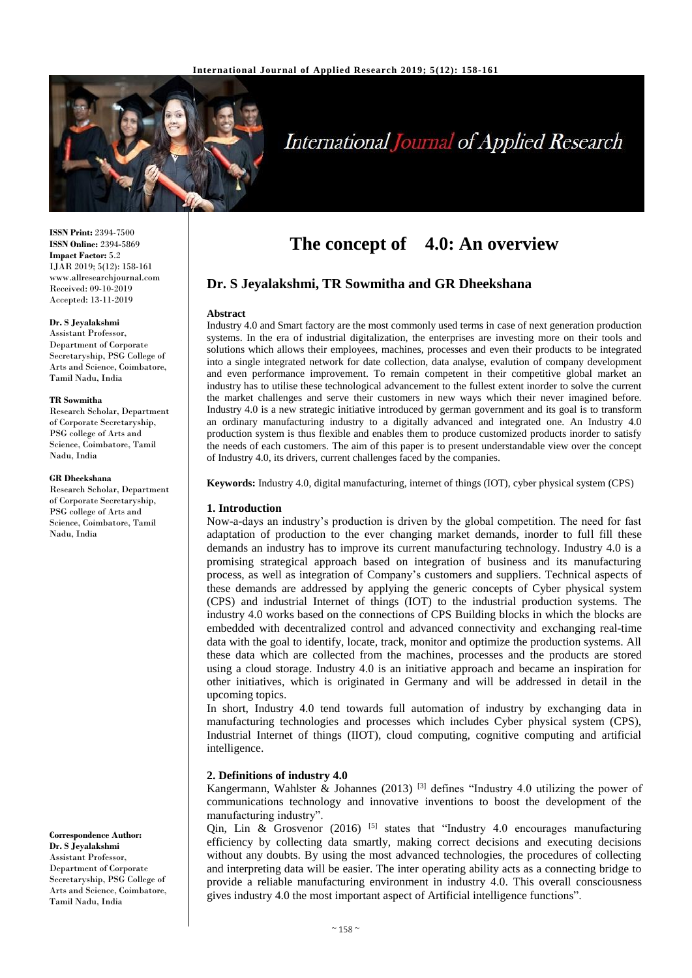

# **International Journal of Applied Research**

**ISSN Print:** 2394-7500 **ISSN Online:** 2394-5869 **Impact Factor:** 5.2 IJAR 2019; 5(12): 158-161 www.allresearchjournal.com Received: 09-10-2019 Accepted: 13-11-2019

#### **Dr. S Jeyalakshmi**

Assistant Professor, Department of Corporate Secretaryship, PSG College of Arts and Science, Coimbatore, Tamil Nadu, India

#### **TR Sowmitha**

Research Scholar, Department of Corporate Secretaryship, PSG college of Arts and Science, Coimbatore, Tamil Nadu, India

#### **GR Dheekshana**

Research Scholar, Department of Corporate Secretaryship, PSG college of Arts and Science, Coimbatore, Tamil Nadu, India

**Correspondence Author: Dr. S Jeyalakshmi** Assistant Professor, Department of Corporate Secretaryship, PSG College of Arts and Science, Coimbatore, Tamil Nadu, India

# **The concept of 4.0: An overview**

# **Dr. S Jeyalakshmi, TR Sowmitha and GR Dheekshana**

#### **Abstract**

Industry 4.0 and Smart factory are the most commonly used terms in case of next generation production systems. In the era of industrial digitalization, the enterprises are investing more on their tools and solutions which allows their employees, machines, processes and even their products to be integrated into a single integrated network for date collection, data analyse, evalution of company development and even performance improvement. To remain competent in their competitive global market an industry has to utilise these technological advancement to the fullest extent inorder to solve the current the market challenges and serve their customers in new ways which their never imagined before. Industry 4.0 is a new strategic initiative introduced by german government and its goal is to transform an ordinary manufacturing industry to a digitally advanced and integrated one. An Industry 4.0 production system is thus flexible and enables them to produce customized products inorder to satisfy the needs of each customers. The aim of this paper is to present understandable view over the concept of Industry 4.0, its drivers, current challenges faced by the companies.

**Keywords:** Industry 4.0, digital manufacturing, internet of things (IOT), cyber physical system (CPS)

#### **1. Introduction**

Now-a-days an industry's production is driven by the global competition. The need for fast adaptation of production to the ever changing market demands, inorder to full fill these demands an industry has to improve its current manufacturing technology. Industry 4.0 is a promising strategical approach based on integration of business and its manufacturing process, as well as integration of Company's customers and suppliers. Technical aspects of these demands are addressed by applying the generic concepts of Cyber physical system (CPS) and industrial Internet of things (IOT) to the industrial production systems. The industry 4.0 works based on the connections of CPS Building blocks in which the blocks are embedded with decentralized control and advanced connectivity and exchanging real-time data with the goal to identify, locate, track, monitor and optimize the production systems. All these data which are collected from the machines, processes and the products are stored using a cloud storage. Industry 4.0 is an initiative approach and became an inspiration for other initiatives, which is originated in Germany and will be addressed in detail in the upcoming topics.

In short, Industry 4.0 tend towards full automation of industry by exchanging data in manufacturing technologies and processes which includes Cyber physical system (CPS), Industrial Internet of things (IIOT), cloud computing, cognitive computing and artificial intelligence.

# **2. Definitions of industry 4.0**

Kangermann, Wahlster & Johannes (2013)<sup>[3]</sup> defines "Industry 4.0 utilizing the power of communications technology and innovative inventions to boost the development of the manufacturing industry".

Qin, Lin & Grosvenor (2016)  $[5]$  states that "Industry 4.0 encourages manufacturing efficiency by collecting data smartly, making correct decisions and executing decisions without any doubts. By using the most advanced technologies, the procedures of collecting and interpreting data will be easier. The inter operating ability acts as a connecting bridge to provide a reliable manufacturing environment in industry 4.0. This overall consciousness gives industry 4.0 the most important aspect of Artificial intelligence functions".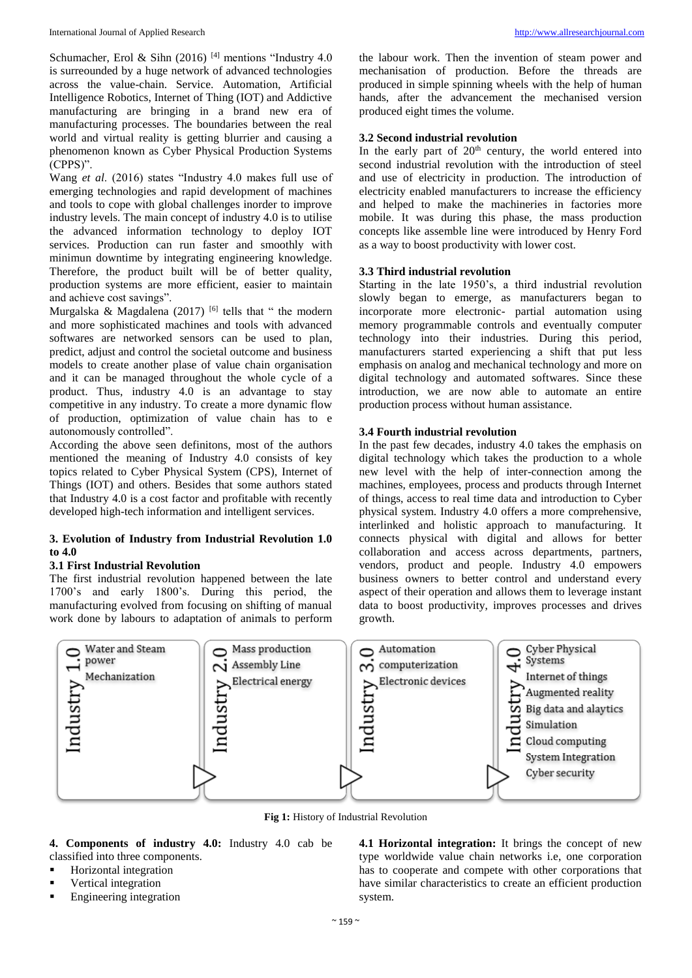Schumacher, Erol & Sihn (2016)<sup>[4]</sup> mentions "Industry 4.0 is surreounded by a huge network of advanced technologies across the value-chain. Service. Automation, Artificial Intelligence Robotics, Internet of Thing (IOT) and Addictive manufacturing are bringing in a brand new era of manufacturing processes. The boundaries between the real world and virtual reality is getting blurrier and causing a phenomenon known as Cyber Physical Production Systems (CPPS)".

Wang *et al*. (2016) states "Industry 4.0 makes full use of emerging technologies and rapid development of machines and tools to cope with global challenges inorder to improve industry levels. The main concept of industry 4.0 is to utilise the advanced information technology to deploy IOT services. Production can run faster and smoothly with minimun downtime by integrating engineering knowledge. Therefore, the product built will be of better quality, production systems are more efficient, easier to maintain and achieve cost savings".

Murgalska & Magdalena (2017)  $[6]$  tells that " the modern and more sophisticated machines and tools with advanced softwares are networked sensors can be used to plan, predict, adjust and control the societal outcome and business models to create another plase of value chain organisation and it can be managed throughout the whole cycle of a product. Thus, industry 4.0 is an advantage to stay competitive in any industry. To create a more dynamic flow of production, optimization of value chain has to e autonomously controlled".

According the above seen definitons, most of the authors mentioned the meaning of Industry 4.0 consists of key topics related to Cyber Physical System (CPS), Internet of Things (IOT) and others. Besides that some authors stated that Industry 4.0 is a cost factor and profitable with recently developed high-tech information and intelligent services.

# **3. Evolution of Industry from Industrial Revolution 1.0 to 4.0**

#### **3.1 First Industrial Revolution**

The first industrial revolution happened between the late 1700's and early 1800's. During this period, the manufacturing evolved from focusing on shifting of manual work done by labours to adaptation of animals to perform

the labour work. Then the invention of steam power and mechanisation of production. Before the threads are produced in simple spinning wheels with the help of human hands, after the advancement the mechanised version produced eight times the volume.

# **3.2 Second industrial revolution**

In the early part of  $20<sup>th</sup>$  century, the world entered into second industrial revolution with the introduction of steel and use of electricity in production. The introduction of electricity enabled manufacturers to increase the efficiency and helped to make the machineries in factories more mobile. It was during this phase, the mass production concepts like assemble line were introduced by Henry Ford as a way to boost productivity with lower cost.

# **3.3 Third industrial revolution**

Starting in the late 1950's, a third industrial revolution slowly began to emerge, as manufacturers began to incorporate more electronic- partial automation using memory programmable controls and eventually computer technology into their industries. During this period, manufacturers started experiencing a shift that put less emphasis on analog and mechanical technology and more on digital technology and automated softwares. Since these introduction, we are now able to automate an entire production process without human assistance.

# **3.4 Fourth industrial revolution**

In the past few decades, industry 4.0 takes the emphasis on digital technology which takes the production to a whole new level with the help of inter-connection among the machines, employees, process and products through Internet of things, access to real time data and introduction to Cyber physical system. Industry 4.0 offers a more comprehensive, interlinked and holistic approach to manufacturing. It connects physical with digital and allows for better collaboration and access across departments, partners, vendors, product and people. Industry 4.0 empowers business owners to better control and understand every aspect of their operation and allows them to leverage instant data to boost productivity, improves processes and drives growth.



**Fig 1:** History of Industrial Revolution

# **4. Components of industry 4.0:** Industry 4.0 cab be classified into three components.

- **Horizontal integration**
- Vertical integration
- **Engineering integration**

**4.1 Horizontal integration:** It brings the concept of new type worldwide value chain networks i.e, one corporation has to cooperate and compete with other corporations that have similar characteristics to create an efficient production system.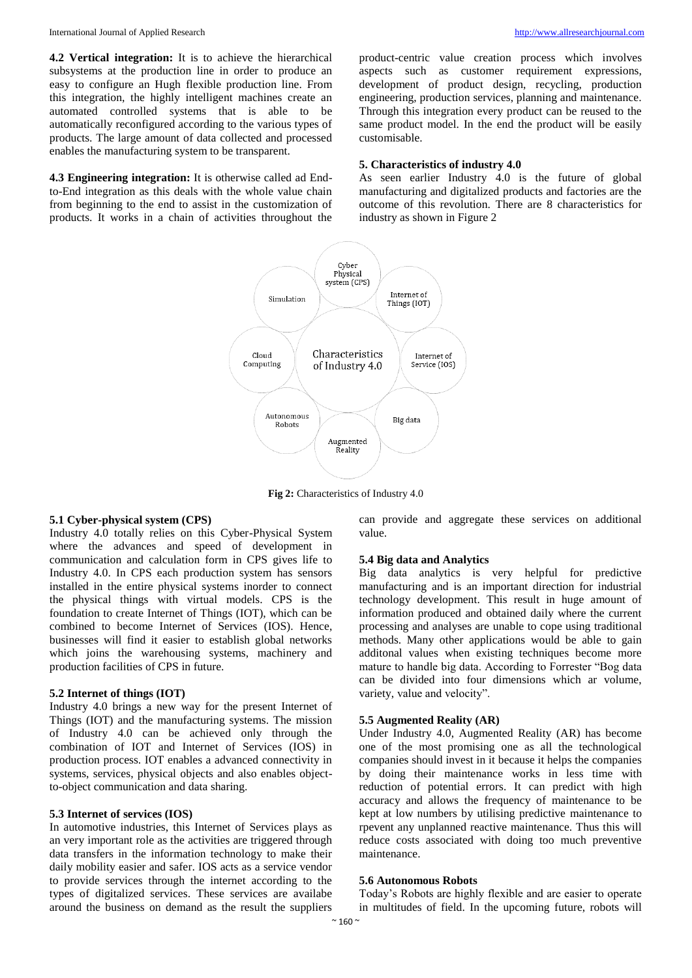**4.2 Vertical integration:** It is to achieve the hierarchical subsystems at the production line in order to produce an easy to configure an Hugh flexible production line. From this integration, the highly intelligent machines create an automated controlled systems that is able to be automatically reconfigured according to the various types of products. The large amount of data collected and processed enables the manufacturing system to be transparent.

**4.3 Engineering integration:** It is otherwise called ad Endto-End integration as this deals with the whole value chain from beginning to the end to assist in the customization of products. It works in a chain of activities throughout the

product-centric value creation process which involves aspects such as customer requirement expressions, development of product design, recycling, production engineering, production services, planning and maintenance. Through this integration every product can be reused to the same product model. In the end the product will be easily customisable.

#### **5. Characteristics of industry 4.0**

As seen earlier Industry 4.0 is the future of global manufacturing and digitalized products and factories are the outcome of this revolution. There are 8 characteristics for industry as shown in Figure 2



**Fig 2:** Characteristics of Industry 4.0

#### **5.1 Cyber-physical system (CPS)**

Industry 4.0 totally relies on this Cyber-Physical System where the advances and speed of development in communication and calculation form in CPS gives life to Industry 4.0. In CPS each production system has sensors installed in the entire physical systems inorder to connect the physical things with virtual models. CPS is the foundation to create Internet of Things (IOT), which can be combined to become Internet of Services (IOS). Hence, businesses will find it easier to establish global networks which joins the warehousing systems, machinery and production facilities of CPS in future.

#### **5.2 Internet of things (IOT)**

Industry 4.0 brings a new way for the present Internet of Things (IOT) and the manufacturing systems. The mission of Industry 4.0 can be achieved only through the combination of IOT and Internet of Services (IOS) in production process. IOT enables a advanced connectivity in systems, services, physical objects and also enables objectto-object communication and data sharing.

#### **5.3 Internet of services (IOS)**

In automotive industries, this Internet of Services plays as an very important role as the activities are triggered through data transfers in the information technology to make their daily mobility easier and safer. IOS acts as a service vendor to provide services through the internet according to the types of digitalized services. These services are availabe around the business on demand as the result the suppliers

can provide and aggregate these services on additional value.

#### **5.4 Big data and Analytics**

Big data analytics is very helpful for predictive manufacturing and is an important direction for industrial technology development. This result in huge amount of information produced and obtained daily where the current processing and analyses are unable to cope using traditional methods. Many other applications would be able to gain additonal values when existing techniques become more mature to handle big data. According to Forrester "Bog data can be divided into four dimensions which ar volume, variety, value and velocity".

#### **5.5 Augmented Reality (AR)**

Under Industry 4.0, Augmented Reality (AR) has become one of the most promising one as all the technological companies should invest in it because it helps the companies by doing their maintenance works in less time with reduction of potential errors. It can predict with high accuracy and allows the frequency of maintenance to be kept at low numbers by utilising predictive maintenance to rpevent any unplanned reactive maintenance. Thus this will reduce costs associated with doing too much preventive maintenance.

#### **5.6 Autonomous Robots**

Today's Robots are highly flexible and are easier to operate in multitudes of field. In the upcoming future, robots will